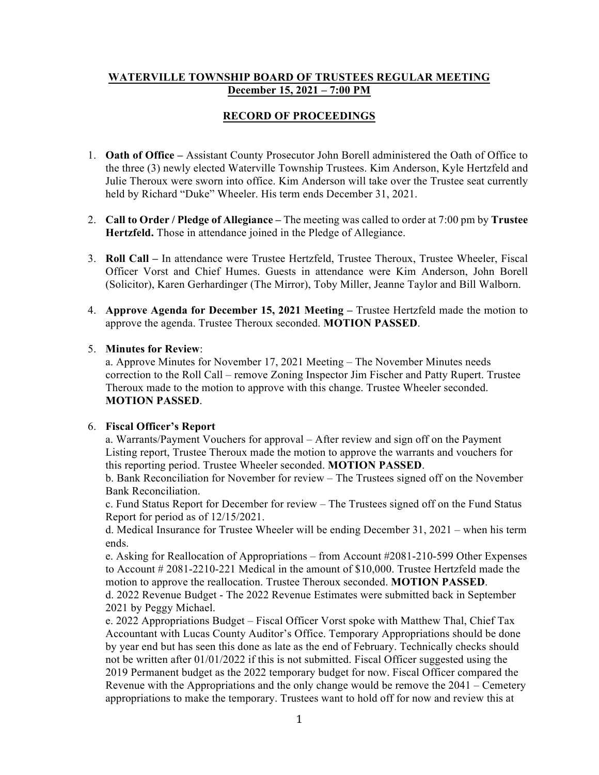## **WATERVILLE TOWNSHIP BOARD OF TRUSTEES REGULAR MEETING December 15, 2021 – 7:00 PM**

# **RECORD OF PROCEEDINGS**

- 1. **Oath of Office –** Assistant County Prosecutor John Borell administered the Oath of Office to the three (3) newly elected Waterville Township Trustees. Kim Anderson, Kyle Hertzfeld and Julie Theroux were sworn into office. Kim Anderson will take over the Trustee seat currently held by Richard "Duke" Wheeler. His term ends December 31, 2021.
- 2. **Call to Order / Pledge of Allegiance –** The meeting was called to order at 7:00 pm by **Trustee Hertzfeld.** Those in attendance joined in the Pledge of Allegiance.
- 3. **Roll Call –** In attendance were Trustee Hertzfeld, Trustee Theroux, Trustee Wheeler, Fiscal Officer Vorst and Chief Humes. Guests in attendance were Kim Anderson, John Borell (Solicitor), Karen Gerhardinger (The Mirror), Toby Miller, Jeanne Taylor and Bill Walborn.
- 4. **Approve Agenda for December 15, 2021 Meeting –** Trustee Hertzfeld made the motion to approve the agenda. Trustee Theroux seconded. **MOTION PASSED**.

## 5. **Minutes for Review**:

a. Approve Minutes for November 17, 2021 Meeting – The November Minutes needs correction to the Roll Call – remove Zoning Inspector Jim Fischer and Patty Rupert. Trustee Theroux made to the motion to approve with this change. Trustee Wheeler seconded. **MOTION PASSED**.

## 6. **Fiscal Officer's Report**

a. Warrants/Payment Vouchers for approval – After review and sign off on the Payment Listing report, Trustee Theroux made the motion to approve the warrants and vouchers for this reporting period. Trustee Wheeler seconded. **MOTION PASSED**.

b. Bank Reconciliation for November for review – The Trustees signed off on the November Bank Reconciliation.

c. Fund Status Report for December for review – The Trustees signed off on the Fund Status Report for period as of 12/15/2021.

d. Medical Insurance for Trustee Wheeler will be ending December 31, 2021 – when his term ends.

e. Asking for Reallocation of Appropriations – from Account #2081-210-599 Other Expenses to Account # 2081-2210-221 Medical in the amount of \$10,000. Trustee Hertzfeld made the motion to approve the reallocation. Trustee Theroux seconded. **MOTION PASSED**. d. 2022 Revenue Budget - The 2022 Revenue Estimates were submitted back in September 2021 by Peggy Michael.

e. 2022 Appropriations Budget – Fiscal Officer Vorst spoke with Matthew Thal, Chief Tax Accountant with Lucas County Auditor's Office. Temporary Appropriations should be done by year end but has seen this done as late as the end of February. Technically checks should not be written after 01/01/2022 if this is not submitted. Fiscal Officer suggested using the 2019 Permanent budget as the 2022 temporary budget for now. Fiscal Officer compared the Revenue with the Appropriations and the only change would be remove the 2041 – Cemetery appropriations to make the temporary. Trustees want to hold off for now and review this at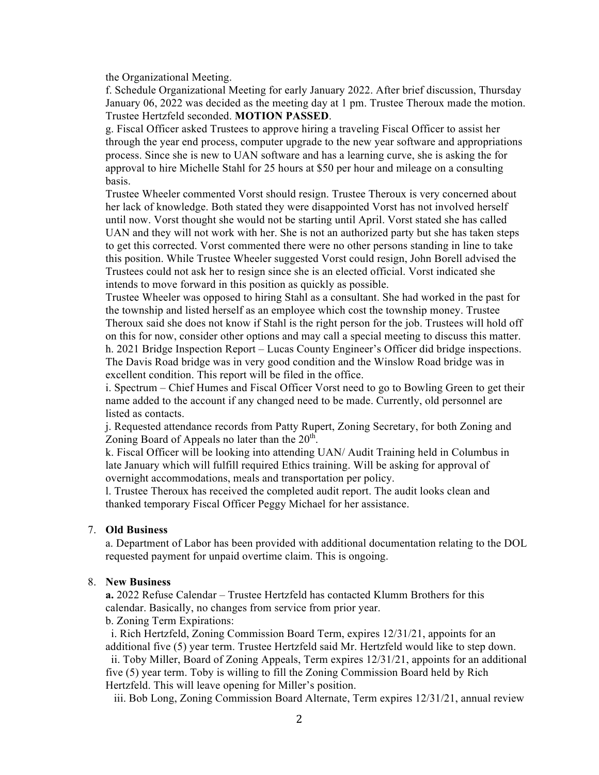the Organizational Meeting.

f. Schedule Organizational Meeting for early January 2022. After brief discussion, Thursday January 06, 2022 was decided as the meeting day at 1 pm. Trustee Theroux made the motion. Trustee Hertzfeld seconded. **MOTION PASSED**.

g. Fiscal Officer asked Trustees to approve hiring a traveling Fiscal Officer to assist her through the year end process, computer upgrade to the new year software and appropriations process. Since she is new to UAN software and has a learning curve, she is asking the for approval to hire Michelle Stahl for 25 hours at \$50 per hour and mileage on a consulting basis.

Trustee Wheeler commented Vorst should resign. Trustee Theroux is very concerned about her lack of knowledge. Both stated they were disappointed Vorst has not involved herself until now. Vorst thought she would not be starting until April. Vorst stated she has called UAN and they will not work with her. She is not an authorized party but she has taken steps to get this corrected. Vorst commented there were no other persons standing in line to take this position. While Trustee Wheeler suggested Vorst could resign, John Borell advised the Trustees could not ask her to resign since she is an elected official. Vorst indicated she intends to move forward in this position as quickly as possible.

Trustee Wheeler was opposed to hiring Stahl as a consultant. She had worked in the past for the township and listed herself as an employee which cost the township money. Trustee Theroux said she does not know if Stahl is the right person for the job. Trustees will hold off on this for now, consider other options and may call a special meeting to discuss this matter. h. 2021 Bridge Inspection Report – Lucas County Engineer's Officer did bridge inspections. The Davis Road bridge was in very good condition and the Winslow Road bridge was in excellent condition. This report will be filed in the office.

i. Spectrum – Chief Humes and Fiscal Officer Vorst need to go to Bowling Green to get their name added to the account if any changed need to be made. Currently, old personnel are listed as contacts.

j. Requested attendance records from Patty Rupert, Zoning Secretary, for both Zoning and Zoning Board of Appeals no later than the  $20<sup>th</sup>$ .

k. Fiscal Officer will be looking into attending UAN/ Audit Training held in Columbus in late January which will fulfill required Ethics training. Will be asking for approval of overnight accommodations, meals and transportation per policy.

l. Trustee Theroux has received the completed audit report. The audit looks clean and thanked temporary Fiscal Officer Peggy Michael for her assistance.

#### 7. **Old Business**

a. Department of Labor has been provided with additional documentation relating to the DOL requested payment for unpaid overtime claim. This is ongoing.

### 8. **New Business**

**a.** 2022 Refuse Calendar – Trustee Hertzfeld has contacted Klumm Brothers for this calendar. Basically, no changes from service from prior year.

b. Zoning Term Expirations:

 i. Rich Hertzfeld, Zoning Commission Board Term, expires 12/31/21, appoints for an additional five (5) year term. Trustee Hertzfeld said Mr. Hertzfeld would like to step down.

 ii. Toby Miller, Board of Zoning Appeals, Term expires 12/31/21, appoints for an additional five (5) year term. Toby is willing to fill the Zoning Commission Board held by Rich Hertzfeld. This will leave opening for Miller's position.

iii. Bob Long, Zoning Commission Board Alternate, Term expires 12/31/21, annual review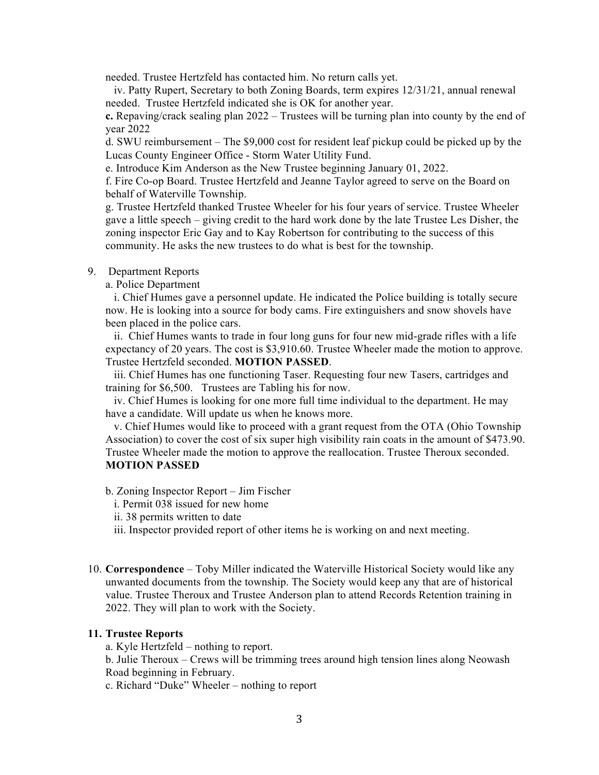needed. Trustee Hertzfeld has contacted him. No return calls yet.

 iv. Patty Rupert, Secretary to both Zoning Boards, term expires 12/31/21, annual renewal needed. Trustee Hertzfeld indicated she is OK for another year.

**c.** Repaving/crack sealing plan 2022 – Trustees will be turning plan into county by the end of year 2022

d. SWU reimbursement – The \$9,000 cost for resident leaf pickup could be picked up by the Lucas County Engineer Office - Storm Water Utility Fund.

e. Introduce Kim Anderson as the New Trustee beginning January 01, 2022.

f. Fire Co-op Board. Trustee Hertzfeld and Jeanne Taylor agreed to serve on the Board on behalf of Waterville Township.

g. Trustee Hertzfeld thanked Trustee Wheeler for his four years of service. Trustee Wheeler gave a little speech – giving credit to the hard work done by the late Trustee Les Disher, the zoning inspector Eric Gay and to Kay Robertson for contributing to the success of this community. He asks the new trustees to do what is best for the township.

#### 9. Department Reports

a. Police Department

 i. Chief Humes gave a personnel update. He indicated the Police building is totally secure now. He is looking into a source for body cams. Fire extinguishers and snow shovels have been placed in the police cars.

 ii. Chief Humes wants to trade in four long guns for four new mid-grade rifles with a life expectancy of 20 years. The cost is \$3,910.60. Trustee Wheeler made the motion to approve. Trustee Hertzfeld seconded. **MOTION PASSED**.

 iii. Chief Humes has one functioning Taser. Requesting four new Tasers, cartridges and training for \$6,500. Trustees are Tabling his for now.

 iv. Chief Humes is looking for one more full time individual to the department. He may have a candidate. Will update us when he knows more.

 v. Chief Humes would like to proceed with a grant request from the OTA (Ohio Township Association) to cover the cost of six super high visibility rain coats in the amount of \$473.90. Trustee Wheeler made the motion to approve the reallocation. Trustee Theroux seconded. **MOTION PASSED**

b. Zoning Inspector Report – Jim Fischer

- i. Permit 038 issued for new home
- ii. 38 permits written to date

iii. Inspector provided report of other items he is working on and next meeting.

10. **Correspondence** – Toby Miller indicated the Waterville Historical Society would like any unwanted documents from the township. The Society would keep any that are of historical value. Trustee Theroux and Trustee Anderson plan to attend Records Retention training in 2022. They will plan to work with the Society.

#### **11. Trustee Reports**

a. Kyle Hertzfeld – nothing to report.

b. Julie Theroux – Crews will be trimming trees around high tension lines along Neowash Road beginning in February.

c. Richard "Duke" Wheeler – nothing to report